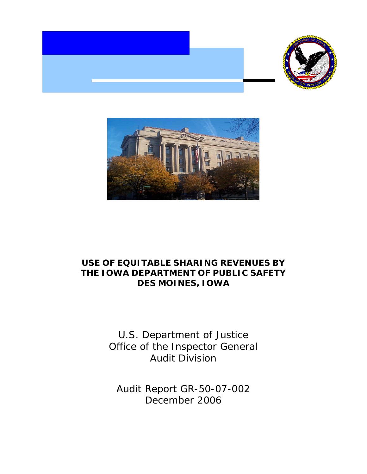



# **USE OF EQUITABLE SHARING REVENUES BY THE IOWA DEPARTMENT OF PUBLIC SAFETY DES MOINES, IOWA**

U.S. Department of Justice Office of the Inspector General Audit Division

Audit Report GR-50-07-002 December 2006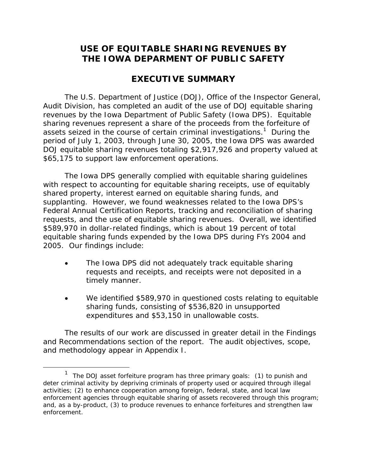# **USE OF EQUITABLE SHARING REVENUES BY THE IOWA DEPARMENT OF PUBLIC SAFETY**

# **EXECUTIVE SUMMARY**

The U.S. Department of Justice (DOJ), Office of the Inspector General, Audit Division, has completed an audit of the use of DOJ equitable sharing revenues by the Iowa Department of Public Safety (Iowa DPS). Equitable sharing revenues represent a share of the proceeds from the forfeiture of assets seized in the course of certain criminal investigations.<sup>1</sup> During the period of July 1, 2003, through June 30, 2005, the Iowa DPS was awarded DOJ equitable sharing revenues totaling \$2,917,926 and property valued at \$65,175 to support law enforcement operations.

The Iowa DPS generally complied with equitable sharing guidelines with respect to accounting for equitable sharing receipts, use of equitably shared property, interest earned on equitable sharing funds, and supplanting. However, we found weaknesses related to the Iowa DPS's Federal Annual Certification Reports, tracking and reconciliation of sharing requests, and the use of equitable sharing revenues. Overall, we identified \$589,970 in dollar-related findings, which is about 19 percent of total equitable sharing funds expended by the Iowa DPS during FYs 2004 and 2005. Our findings include:

- The Iowa DPS did not adequately track equitable sharing requests and receipts, and receipts were not deposited in a timely manner.
- We identified \$589,970 in questioned costs relating to equitable sharing funds, consisting of \$536,820 in unsupported expenditures and \$53,150 in unallowable costs.

The results of our work are discussed in greater detail in the Findings and Recommendations section of the report. The audit objectives, scope, and methodology appear in Appendix I.

 $\overline{a}$ 

<sup>&</sup>lt;sup>1</sup> The DOJ asset forfeiture program has three primary goals: (1) to punish and deter criminal activity by depriving criminals of property used or acquired through illegal activities; (2) to enhance cooperation among foreign, federal, state, and local law enforcement agencies through equitable sharing of assets recovered through this program; and, as a by-product, (3) to produce revenues to enhance forfeitures and strengthen law enforcement.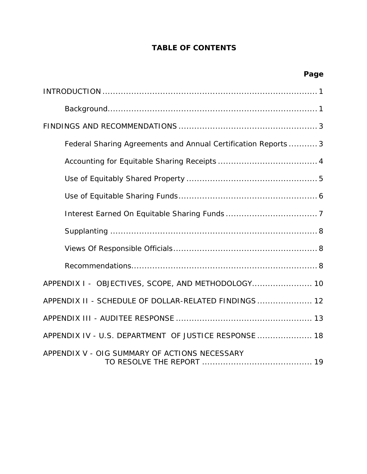# **TABLE OF CONTENTS**

| Page                                                           |
|----------------------------------------------------------------|
|                                                                |
|                                                                |
|                                                                |
| Federal Sharing Agreements and Annual Certification Reports  3 |
|                                                                |
|                                                                |
|                                                                |
|                                                                |
|                                                                |
|                                                                |
|                                                                |
| APPENDIX I - OBJECTIVES, SCOPE, AND METHODOLOGY 10             |
| APPENDIX II - SCHEDULE OF DOLLAR-RELATED FINDINGS  12          |
|                                                                |
| APPENDIX IV - U.S. DEPARTMENT OF JUSTICE RESPONSE  18          |
| APPENDIX V - OIG SUMMARY OF ACTIONS NECESSARY                  |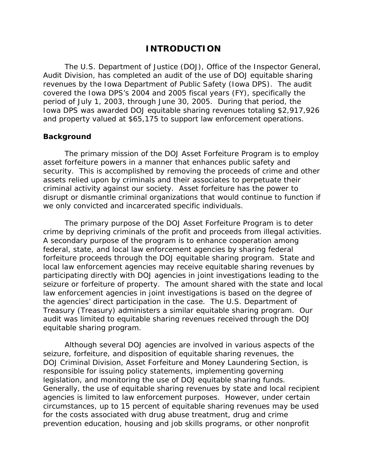## **INTRODUCTION**

The U.S. Department of Justice (DOJ), Office of the Inspector General, Audit Division, has completed an audit of the use of DOJ equitable sharing revenues by the Iowa Department of Public Safety (Iowa DPS). The audit covered the Iowa DPS's 2004 and 2005 fiscal years (FY), specifically the period of July 1, 2003, through June 30, 2005. During that period, the Iowa DPS was awarded DOJ equitable sharing revenues totaling \$2,917,926 and property valued at \$65,175 to support law enforcement operations.

### **Background**

The primary mission of the DOJ Asset Forfeiture Program is to employ asset forfeiture powers in a manner that enhances public safety and security. This is accomplished by removing the proceeds of crime and other assets relied upon by criminals and their associates to perpetuate their criminal activity against our society. Asset forfeiture has the power to disrupt or dismantle criminal organizations that would continue to function if we only convicted and incarcerated specific individuals.

The primary purpose of the DOJ Asset Forfeiture Program is to deter crime by depriving criminals of the profit and proceeds from illegal activities. A secondary purpose of the program is to enhance cooperation among federal, state, and local law enforcement agencies by sharing federal forfeiture proceeds through the DOJ equitable sharing program. State and local law enforcement agencies may receive equitable sharing revenues by participating directly with DOJ agencies in joint investigations leading to the seizure or forfeiture of property. The amount shared with the state and local law enforcement agencies in joint investigations is based on the degree of the agencies' direct participation in the case. The U.S. Department of Treasury (Treasury) administers a similar equitable sharing program. Our audit was limited to equitable sharing revenues received through the DOJ equitable sharing program.

legislation, and monitoring the use of DOJ equitable sharing funds. Although several DOJ agencies are involved in various aspects of the seizure, forfeiture, and disposition of equitable sharing revenues, the DOJ Criminal Division, Asset Forfeiture and Money Laundering Section, is responsible for issuing policy statements, implementing governing Generally, the use of equitable sharing revenues by state and local recipient agencies is limited to law enforcement purposes. However, under certain circumstances, up to 15 percent of equitable sharing revenues may be used for the costs associated with drug abuse treatment, drug and crime prevention education, housing and job skills programs, or other nonprofit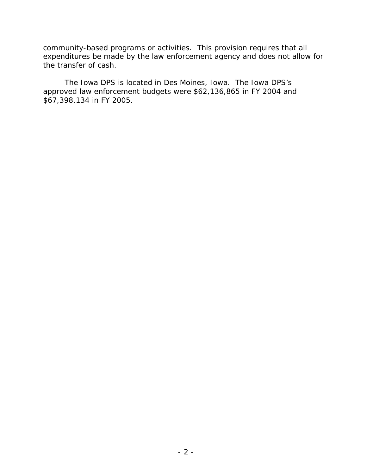community-based programs or activities. This provision requires that all expenditures be made by the law enforcement agency and does not allow for the transfer of cash.

The Iowa DPS is located in Des Moines, Iowa. The Iowa DPS's approved law enforcement budgets were \$62,136,865 in FY 2004 and \$67,398,134 in FY 2005.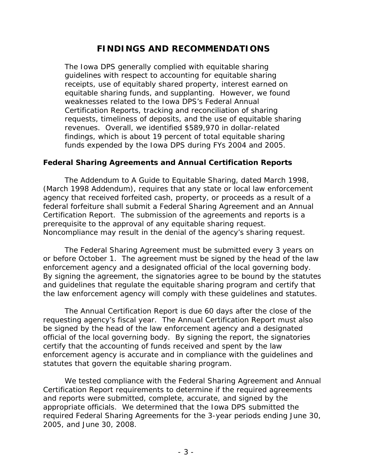# **FINDINGS AND RECOMMENDATIONS**

The Iowa DPS generally complied with equitable sharing guidelines with respect to accounting for equitable sharing receipts, use of equitably shared property, interest earned on equitable sharing funds, and supplanting. However, we found weaknesses related to the Iowa DPS's Federal Annual Certification Reports, tracking and reconciliation of sharing requests, timeliness of deposits, and the use of equitable sharing revenues. Overall, we identified \$589,970 in dollar-related findings, which is about 19 percent of total equitable sharing funds expended by the Iowa DPS during FYs 2004 and 2005.

### **Federal Sharing Agreements and Annual Certification Reports**

The *Addendum to A Guide to Equitable Sharing*, dated March 1998, (March 1998 Addendum), requires that any state or local law enforcement agency that received forfeited cash, property, or proceeds as a result of a federal forfeiture shall submit a Federal Sharing Agreement and an Annual Certification Report. The submission of the agreements and reports is a prerequisite to the approval of any equitable sharing request. Noncompliance may result in the denial of the agency's sharing request.

The Federal Sharing Agreement must be submitted every 3 years on or before October 1. The agreement must be signed by the head of the law enforcement agency and a designated official of the local governing body. By signing the agreement, the signatories agree to be bound by the statutes and guidelines that regulate the equitable sharing program and certify that the law enforcement agency will comply with these guidelines and statutes.

The Annual Certification Report is due 60 days after the close of the requesting agency's fiscal year. The Annual Certification Report must also be signed by the head of the law enforcement agency and a designated official of the local governing body. By signing the report, the signatories certify that the accounting of funds received and spent by the law enforcement agency is accurate and in compliance with the guidelines and statutes that govern the equitable sharing program.

We tested compliance with the Federal Sharing Agreement and Annual Certification Report requirements to determine if the required agreements and reports were submitted, complete, accurate, and signed by the appropriate officials. We determined that the Iowa DPS submitted the required Federal Sharing Agreements for the 3-year periods ending June 30, 2005, and June 30, 2008.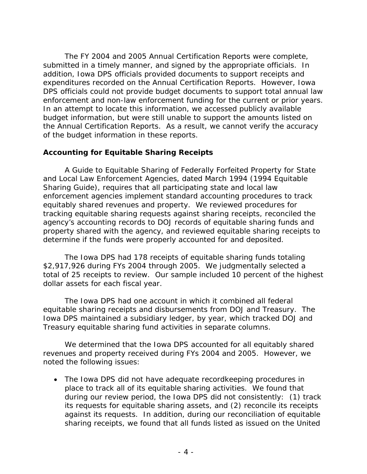The FY 2004 and 2005 Annual Certification Reports were complete, submitted in a timely manner, and signed by the appropriate officials. In addition, Iowa DPS officials provided documents to support receipts and expenditures recorded on the Annual Certification Reports. However, Iowa DPS officials could not provide budget documents to support total annual law enforcement and non-law enforcement funding for the current or prior years. In an attempt to locate this information, we accessed publicly available budget information, but were still unable to support the amounts listed on the Annual Certification Reports. As a result, we cannot verify the accuracy of the budget information in these reports.

## **Accounting for Equitable Sharing Receipts**

*A Guide to Equitable Sharing of Federally Forfeited Property for State and Local Law Enforcement Agencies*, dated March 1994 (1994 Equitable Sharing Guide), requires that all participating state and local law enforcement agencies implement standard accounting procedures to track equitably shared revenues and property. We reviewed procedures for tracking equitable sharing requests against sharing receipts, reconciled the agency's accounting records to DOJ records of equitable sharing funds and property shared with the agency, and reviewed equitable sharing receipts to determine if the funds were properly accounted for and deposited.

The Iowa DPS had 178 receipts of equitable sharing funds totaling \$2,917,926 during FYs 2004 through 2005. We judgmentally selected a total of 25 receipts to review. Our sample included 10 percent of the highest dollar assets for each fiscal year.

The Iowa DPS had one account in which it combined all federal equitable sharing receipts and disbursements from DOJ and Treasury. The Iowa DPS maintained a subsidiary ledger, by year, which tracked DOJ and Treasury equitable sharing fund activities in separate columns.

We determined that the Iowa DPS accounted for all equitably shared revenues and property received during FYs 2004 and 2005. However, we noted the following issues:

• The Iowa DPS did not have adequate recordkeeping procedures in place to track all of its equitable sharing activities. We found that during our review period, the Iowa DPS did not consistently: (1) track its requests for equitable sharing assets, and (2) reconcile its receipts against its requests. In addition, during our reconciliation of equitable sharing receipts, we found that all funds listed as issued on the United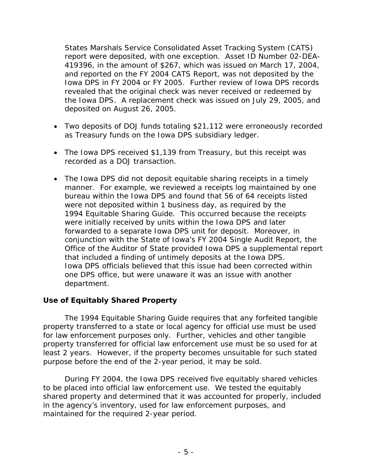States Marshals Service Consolidated Asset Tracking System (CATS) report were deposited, with one exception. Asset ID Number 02-DEA-419396, in the amount of \$267, which was issued on March 17, 2004, and reported on the FY 2004 CATS Report, was not deposited by the Iowa DPS in FY 2004 or FY 2005. Further review of Iowa DPS records revealed that the original check was never received or redeemed by the Iowa DPS. A replacement check was issued on July 29, 2005, and deposited on August 26, 2005.

- Two deposits of DOJ funds totaling \$21,112 were erroneously recorded as Treasury funds on the Iowa DPS subsidiary ledger.
- The Iowa DPS received \$1,139 from Treasury, but this receipt was recorded as a DOJ transaction.
- The Iowa DPS did not deposit equitable sharing receipts in a timely manner. For example, we reviewed a receipts log maintained by one bureau within the Iowa DPS and found that 56 of 64 receipts listed were not deposited within 1 business day, as required by the 1994 Equitable Sharing Guide. This occurred because the receipts were initially received by units within the Iowa DPS and later forwarded to a separate Iowa DPS unit for deposit. Moreover, in conjunction with the State of Iowa's FY 2004 Single Audit Report, the Office of the Auditor of State provided Iowa DPS a supplemental report that included a finding of untimely deposits at the Iowa DPS. Iowa DPS officials believed that this issue had been corrected within one DPS office, but were unaware it was an issue with another department.

## **Use of Equitably Shared Property**

 The 1994 Equitable Sharing Guide requires that any forfeited tangible property transferred to a state or local agency for official use must be used for law enforcement purposes only. Further, vehicles and other tangible property transferred for official law enforcement use must be so used for at least 2 years. However, if the property becomes unsuitable for such stated purpose before the end of the 2-year period, it may be sold.

During FY 2004, the Iowa DPS received five equitably shared vehicles to be placed into official law enforcement use. We tested the equitably shared property and determined that it was accounted for properly, included in the agency's inventory, used for law enforcement purposes, and maintained for the required 2-year period.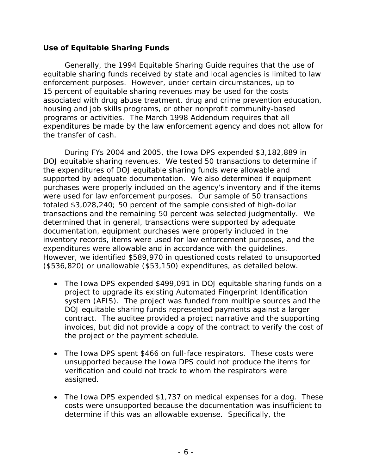## **Use of Equitable Sharing Funds**

Generally, the 1994 Equitable Sharing Guide requires that the use of equitable sharing funds received by state and local agencies is limited to law enforcement purposes. However, under certain circumstances, up to 15 percent of equitable sharing revenues may be used for the costs associated with drug abuse treatment, drug and crime prevention education, housing and job skills programs, or other nonprofit community-based programs or activities. The March 1998 Addendum requires that all expenditures be made by the law enforcement agency and does not allow for the transfer of cash.

During FYs 2004 and 2005, the Iowa DPS expended \$3,182,889 in DOJ equitable sharing revenues. We tested 50 transactions to determine if the expenditures of DOJ equitable sharing funds were allowable and supported by adequate documentation. We also determined if equipment purchases were properly included on the agency's inventory and if the items were used for law enforcement purposes. Our sample of 50 transactions totaled \$3,028,240; 50 percent of the sample consisted of high-dollar transactions and the remaining 50 percent was selected judgmentally. We determined that in general, transactions were supported by adequate documentation, equipment purchases were properly included in the inventory records, items were used for law enforcement purposes, and the expenditures were allowable and in accordance with the guidelines. However, we identified \$589,970 in questioned costs related to unsupported (\$536,820) or unallowable (\$53,150) expenditures, as detailed below.

- The Iowa DPS expended \$499,091 in DOJ equitable sharing funds on a project to upgrade its existing Automated Fingerprint Identification system (AFIS). The project was funded from multiple sources and the DOJ equitable sharing funds represented payments against a larger contract. The auditee provided a project narrative and the supporting invoices, but did not provide a copy of the contract to verify the cost of the project or the payment schedule.
- The Iowa DPS spent \$466 on full-face respirators. These costs were unsupported because the Iowa DPS could not produce the items for verification and could not track to whom the respirators were assigned.
- The Iowa DPS expended \$1,737 on medical expenses for a dog. These costs were unsupported because the documentation was insufficient to determine if this was an allowable expense. Specifically, the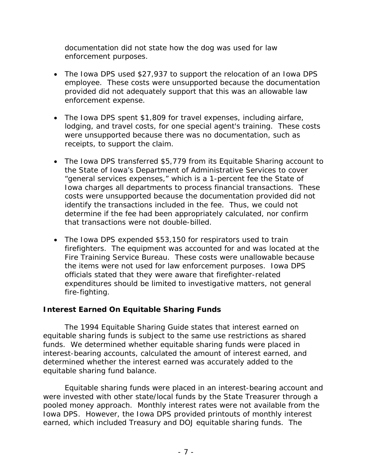documentation did not state how the dog was used for law enforcement purposes.

- The Iowa DPS used \$27,937 to support the relocation of an Iowa DPS employee. These costs were unsupported because the documentation provided did not adequately support that this was an allowable law enforcement expense.
- The Iowa DPS spent \$1,809 for travel expenses, including airfare, lodging, and travel costs, for one special agent's training. These costs were unsupported because there was no documentation, such as receipts, to support the claim.
- The Iowa DPS transferred \$5,779 from its Equitable Sharing account to the State of Iowa's Department of Administrative Services to cover "general services expenses," which is a 1-percent fee the State of Iowa charges all departments to process financial transactions. These costs were unsupported because the documentation provided did not identify the transactions included in the fee. Thus, we could not determine if the fee had been appropriately calculated, nor confirm that transactions were not double-billed.
- The Iowa DPS expended \$53,150 for respirators used to train firefighters. The equipment was accounted for and was located at the Fire Training Service Bureau. These costs were unallowable because the items were not used for law enforcement purposes. Iowa DPS officials stated that they were aware that firefighter-related expenditures should be limited to investigative matters, not general fire-fighting.

## **Interest Earned On Equitable Sharing Funds**

The 1994 Equitable Sharing Guide states that interest earned on equitable sharing funds is subject to the same use restrictions as shared funds. We determined whether equitable sharing funds were placed in interest-bearing accounts, calculated the amount of interest earned, and determined whether the interest earned was accurately added to the equitable sharing fund balance.

Equitable sharing funds were placed in an interest-bearing account and were invested with other state/local funds by the State Treasurer through a pooled money approach. Monthly interest rates were not available from the Iowa DPS. However, the Iowa DPS provided printouts of monthly interest earned, which included Treasury and DOJ equitable sharing funds*.* The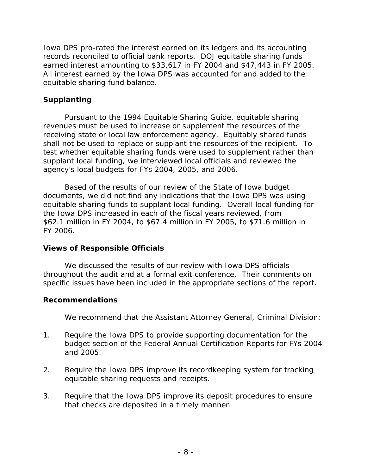Iowa DPS pro-rated the interest earned on its ledgers and its accounting records reconciled to official bank reports. DOJ equitable sharing funds earned interest amounting to \$33,617 in FY 2004 and \$47,443 in FY 2005. All interest earned by the Iowa DPS was accounted for and added to the equitable sharing fund balance.

## **Supplanting**

Pursuant to the 1994 Equitable Sharing Guide, equitable sharing revenues must be used to increase or supplement the resources of the receiving state or local law enforcement agency. Equitably shared funds shall not be used to replace or supplant the resources of the recipient. To test whether equitable sharing funds were used to supplement rather than supplant local funding, we interviewed local officials and reviewed the agency's local budgets for FYs 2004, 2005, and 2006.

Based of the results of our review of the State of Iowa budget documents, we did not find any indications that the Iowa DPS was using equitable sharing funds to supplant local funding. Overall local funding for the Iowa DPS increased in each of the fiscal years reviewed, from \$62.1 million in FY 2004, to \$67.4 million in FY 2005, to \$71.6 million in FY 2006.

## **Views of Responsible Officials**

We discussed the results of our review with Iowa DPS officials throughout the audit and at a formal exit conference. Their comments on specific issues have been included in the appropriate sections of the report.

## **Recommendations**

We recommend that the Assistant Attorney General, Criminal Division:

- 1. Require the Iowa DPS to provide supporting documentation for the budget section of the Federal Annual Certification Reports for FYs 2004 and 2005.
- 2. Require the Iowa DPS improve its recordkeeping system for tracking equitable sharing requests and receipts.
- 3. Require that the Iowa DPS improve its deposit procedures to ensure that checks are deposited in a timely manner.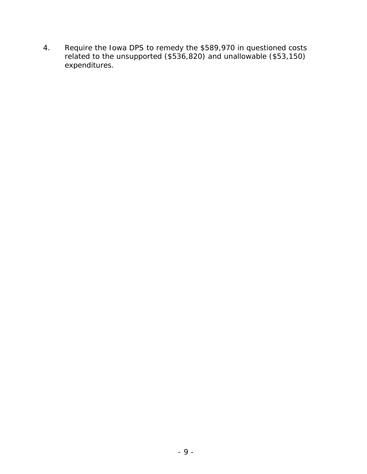4. Require the Iowa DPS to remedy the \$589,970 in questioned costs related to the unsupported (\$536,820) and unallowable (\$53,150) expenditures.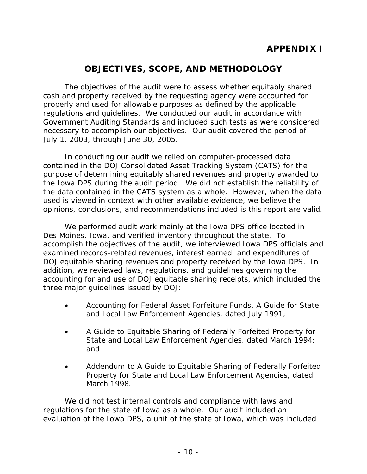# **APPENDIX I**

# **OBJECTIVES, SCOPE, AND METHODOLOGY**

The objectives of the audit were to assess whether equitably shared cash and property received by the requesting agency were accounted for properly and used for allowable purposes as defined by the applicable regulations and guidelines. We conducted our audit in accordance with *Government Auditing Standards* and included such tests as were considered necessary to accomplish our objectives. Our audit covered the period of July 1, 2003, through June 30, 2005.

In conducting our audit we relied on computer-processed data contained in the DOJ Consolidated Asset Tracking System (CATS) for the purpose of determining equitably shared revenues and property awarded to the Iowa DPS during the audit period. We did not establish the reliability of the data contained in the CATS system as a whole. However, when the data used is viewed in context with other available evidence, we believe the opinions, conclusions, and recommendations included is this report are valid.

We performed audit work mainly at the Iowa DPS office located in Des Moines, Iowa, and verified inventory throughout the state. To accomplish the objectives of the audit, we interviewed Iowa DPS officials and examined records-related revenues, interest earned, and expenditures of DOJ equitable sharing revenues and property received by the Iowa DPS. In addition, we reviewed laws, regulations, and guidelines governing the accounting for and use of DOJ equitable sharing receipts, which included the three major guidelines issued by DOJ:

- • *Accounting for Federal Asset Forfeiture Funds, A Guide for State and Local Law Enforcement Agencies*, dated July 1991;
- A Guide to Equitable Sharing of Federally Forfeited Property for *State and Local Law Enforcement Agencies*, dated March 1994; and
- Addendum to A Guide to Equitable Sharing of Federally Forfeited *Property for State and Local Law Enforcement Agencies*, dated March 1998.

We did not test internal controls and compliance with laws and regulations for the state of Iowa as a whole. Our audit included an evaluation of the Iowa DPS, a unit of the state of Iowa, which was included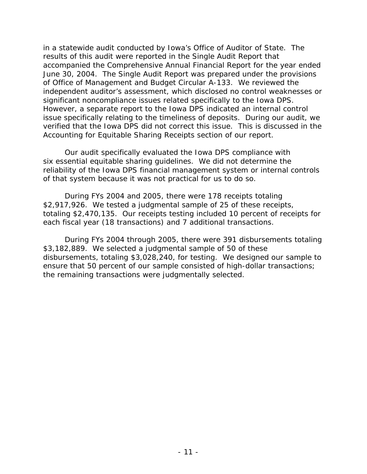in a statewide audit conducted by Iowa's Office of Auditor of State. The results of this audit were reported in the Single Audit Report that accompanied the Comprehensive Annual Financial Report for the year ended June 30, 2004. The Single Audit Report was prepared under the provisions of Office of Management and Budget Circular A-133. We reviewed the independent auditor's assessment, which disclosed no control weaknesses or significant noncompliance issues related specifically to the Iowa DPS. However, a separate report to the Iowa DPS indicated an internal control issue specifically relating to the timeliness of deposits. During our audit, we verified that the Iowa DPS did not correct this issue. This is discussed in the Accounting for Equitable Sharing Receipts section of our report.

Our audit specifically evaluated the Iowa DPS compliance with six essential equitable sharing guidelines. We did not determine the reliability of the Iowa DPS financial management system or internal controls of that system because it was not practical for us to do so.

During FYs 2004 and 2005, there were 178 receipts totaling \$2,917,926. We tested a judgmental sample of 25 of these receipts, totaling \$2,470,135. Our receipts testing included 10 percent of receipts for each fiscal year (18 transactions) and 7 additional transactions.

During FYs 2004 through 2005, there were 391 disbursements totaling \$3,182,889. We selected a judgmental sample of 50 of these disbursements, totaling \$3,028,240, for testing. We designed our sample to ensure that 50 percent of our sample consisted of high-dollar transactions; the remaining transactions were judgmentally selected.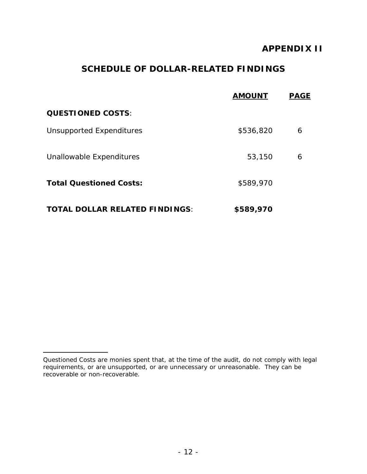# **APPENDIX II**

# **SCHEDULE OF DOLLAR-RELATED FINDINGS**

|                                       | <b>AMOUNT</b> | <b>PAGE</b> |
|---------------------------------------|---------------|-------------|
| <b>QUESTIONED COSTS:</b>              |               |             |
| Unsupported Expenditures              | \$536,820     | 6           |
| Unallowable Expenditures              | 53,150        | 6           |
| <b>Total Questioned Costs:</b>        | \$589,970     |             |
| <b>TOTAL DOLLAR RELATED FINDINGS:</b> | \$589,970     |             |

L

*Questioned Costs* are monies spent that, at the time of the audit, do not comply with legal requirements, or are unsupported, or are unnecessary or unreasonable. They can be recoverable or non-recoverable.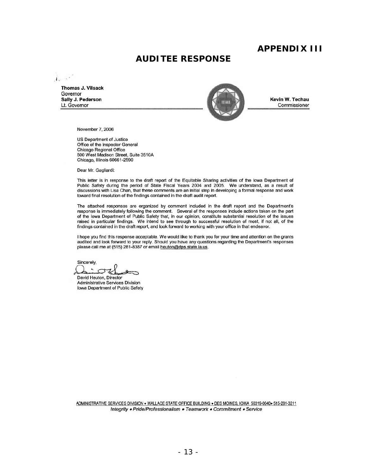## **APPENDIX III**

## **AUDITEE RESPONSE**

. 1.

**Thomas J. Vilsack** Governor



Commissioner

November 7, 2006

us Department of Justice Office of the Inspector General Chicago Regional Office 500 West Madison Street, Suite 351 OA Chicago. Illinois 60661-2590

Dear Mr. Gagliardi:

This letter is in response to the draft report of the Equitable Sharing activities of the Iowa Department of Public Safety during the period of State Fiscal Years 2004 and 2005. We understand, as a result of discussions with Lisa Chan, that these comments are an initial step in developing a formal response and work toward final resolution of the findings contained in the draft audit report.

The attached responses are organized by comment included in the draft report and the Department's response is immediately following the comment. Several of the responses include actions taken on the part of the Iowa Department of Public Safety that, in our opinion, constitute substantial resolution of the issues raised in particular findings. We intend to see through to successful resolution of most, if not all, of the findings contained in the draft report, and look forward to working with your office in that endeavor.

I hope you find this response acceptable. We would like to thank you for your time and attention on the grants audited and look forward to your reply. Should you have any questions regarding the Department's responses please call me at (515) 281-8387 or email heuton@dps.state.ia.us.

Sincerely,  $A:$  other

David Heuton. Director Adminislrative Services Division Iowa Department of Public Safety

ADMINISTRATIVE SERVICES DIVISION . WALLACE STATE OFFICE BUILDING . DES MOINES, IOWA 50319-0040. 515-281-3211 Integrity . Pride/Professionalism . Teamwork . Commitment . Service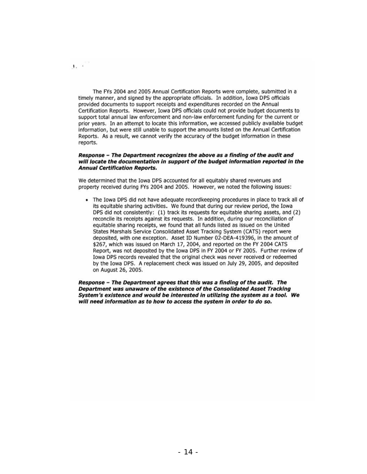The FYs 2004 and 2005 Annual Certification Reports were complete, submitted in a timely manner, and signed by the appropriate offidals. In addition, Iowa DPS officials provided documents to support receipts and expenditures retorded on the Annual Certification Reports. However, Iowa OPS offiCials could not provide budget documents to support total annual law enforcement and non-law enforcement funding for the current or prior years. In an attempt to locate this information, we accessed publicly available budget information, but were still unable to support the amounts listed on the Annual Certification Reports. As a result, we cannot verify the accuracy of the budget information in these reports.

,

#### Response - The Department recognizes the above as a finding of the audit and will locate the documentation in support of the budget information reported in the Annual Certification Reports.

We determined that the Iowa OPS accounted for all equitably shared revenues and property received during FYs 2004 and 2005. However, we noted the following issues:

• The Iowa DPS did not have adequate recordkeeping procedures in place to track all of its equitable sharing activities. We found that during our review period, the Iowa DPS did not consistently: (1) track its requests for equitable sharing assets, and (2) reconcile its receipts against its requests. In addition, during our reconciliation of equitable sharing receipts, we found that all funds listed as issued on the United States Marshals Service Consolidated Asset Tracking System (CATS) report were depOSited, with one exception. Asset 10 Number 02·0EA· 419396, In the amount of \$267, which was issued on March 17, 2004, and reported on the FY 2004 CATS Report, was not deposited by the Iowa DPS in FY 2004 or FY 2005. Further review of Iowa OPS records revealed that the original check was never received or redeemed by the Iowa OPS, A replacement check was Issued on July 29, 2005, and deposited on August 26, 2005.

Response - The Department agrees that this was a finding of the audit. The Department was unaware of the existence of the Consolidated Asset Tracking System's existence and would be interested in utilizing the system as a tool. We *will* need Information as to how to access the system In order to do so.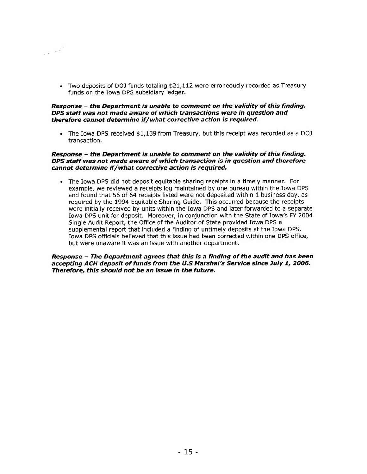• Two deposits of DOJ funds totaling \$21,112 were erroneously recorded as Treasury funds on the Iowa DPS subsidiary ledger.

 $\label{eq:3.1} \frac{1}{2} \left( \frac{1}{2} \right)^{2} \left( \frac{1}{2} \right)^{2} \left( \frac{1}{2} \right)^{2}$ 

#### Response - the Department is unable to comment on the validity of this finding. DPS staff was not made aware of which transactions were in question and therefore cannot determine if/what corrective action is required.

• The Iowa DPS received \$1,139 from Treasury, but this receipt was recorded as a DOJ transaction.

### Response - the Department is unable to comment on the validity of this finding. DPS staff was not made aware of which transaction is in question and therefore cannot determine If/what corrective action is required.

• The Iowa DPS did not deposit equitable sharing receipts in a timely manner. For example, we reviewed a receipts log maintained by one bureau within the Iowa DPS and found that 56 of 64 receipts listed were not deposited within 1 business day, as required by the 1994 Equitable Sharing Guide. This occurred because the receipts were initially received by units within the Iowa DPS and later forwarded to a separate Iowa DPS unit for deposit. Moreover, in conjunction with the State of Iowa's FY 2004 Single Audit Report, the Office of the Auditor of State provided Iowa DPS a supplemental report that included a finding of untimely deposits at the Iowa DPS. Iowa DPS officials believed that this issue had been corrected within one DPS office, but were unaware it was an issue with another department.

### Response - The Department agrees that this is a finding of the audit and has been accepting ACH deposit of funds from the U.S Marshal's Service since July 1, 2006. Therefore, this should not be an issue in the future.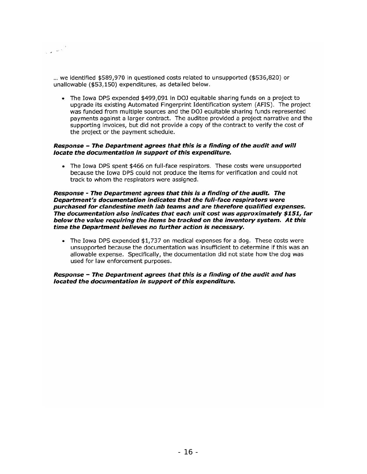$\label{eq:2.1} \frac{1}{\left(1-\frac{1}{2}\right)^{2}}\left(\frac{1}{\left(1-\frac{1}{2}\right)^{2}}\right)^{\frac{1}{2}}$ 

... we Identified \$589,970 in questioned costs related to unsupported (\$536,820) or unallowable (\$53,150) expenditures, as detailed below.

• The Iowa DPS expended \$499,091 In DOJ equitable sharing funds on a project to upgrade its existing Automated Fingerprint Identification system (AFIS). The project was funded from multiple sources and the DOJ equitable sharing funds represented payments against a larger contract. The auditee provided a project narrative and the supporting invoices, but did not provide a copy of the contract to verify the cost of the project or the payment schedule.

### Response - The Department agrees that this is a finding of the audit and will locate the documentation in support of this expenditure.

• The Iowa DPS spent \$466 on full-face respirators. These costs were unsupported because the Iowa DPS could not produce the items for verification and could not track to whom the respirators were assigned.

#### Response - The Department agrees that this Is a finding of the audit. The Department's documentation indicates that the full-face respirators were purchased for clandestine meth lab teams and are therefore qualified expenses. The documentation also indicates that each unit cost was approximately \$151, far below the value requiring the Items be tracked on the inventory system. At this time the Department believes no further action is necessary.

• The Iowa DPS expended \$1,737 on medical expenses for a dog. These costs were unsupported because the documentation was Insufficient to determine if this was an allowable expense. Specifically, the documentation did not state how the dog was used for law enforcement purposes.

### Response - The Department agrees that this is a finding of the audit and has located the documentation in support of this expenditure.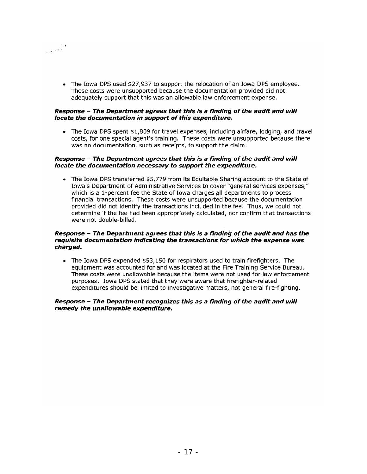• The Iowa DPS used \$27,937 to support the relocation of an Iowa DPS employee. These costs were unsupported because the documentation provided did not adequately support that this was an allowable law enforcement expense.

### Response - The Department agrees that this is a finding of the audit and will locate the documentation in support of this expenditure.

 $\frac{1}{2} \frac{1}{\sqrt{2}} \frac{1}{\sqrt{2}}$ 

• The Iowa DPS spent \$1,809 for travel expenses, including airfare, lodging, and travel costs, for one special agent's training. These costs were unsupported because there was no documentation, such as receipts, to support the claim.

#### Response - The Department agrees that this is a finding of the audit and will locate the documentation necessary to support the expenditure.

• The Iowa DPS transferred \$5,779 from its Equitable Sharing account to the State of Iowa's Department of Administrative Services to cover "general services expenses," which is a 1-percent fee the State of Iowa charges all departments to process financial transactions. These costs were unsupported because the documentation provided did not Identify the transactions included In the fee. Thus, we could not determine if the fee had been appropriately calculated, nor confirm that transactions were not double-billed.

### Response - The Department agrees that this Is a finding of the audit and has the requisite documentation indicating the transactions for which the expense was charged.

• The Iowa DPS expended \$53,150 for respirators used to train firefighters. The equipment was accounted for and was located at the Fire Training Service Bureau. These costs were unallowable because the items were not used for law enforcement purposes. Iowa DPS stated that they were aware that firefighter-related expenditures should be limited to Investigative matters, not general fire-fighting.

### Response - The Department recognizes this as a finding of the audit and will remedy the unallowable expenditure.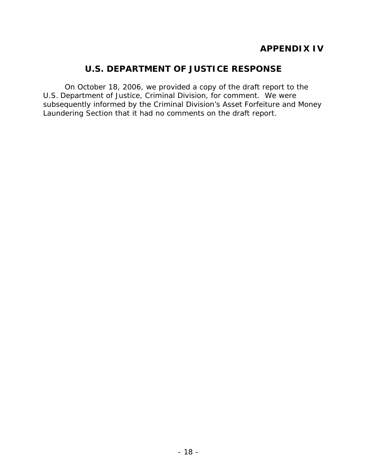# **U.S. DEPARTMENT OF JUSTICE RESPONSE**

On October 18, 2006, we provided a copy of the draft report to the U.S. Department of Justice, Criminal Division, for comment. We were subsequently informed by the Criminal Division's Asset Forfeiture and Money Laundering Section that it had no comments on the draft report.